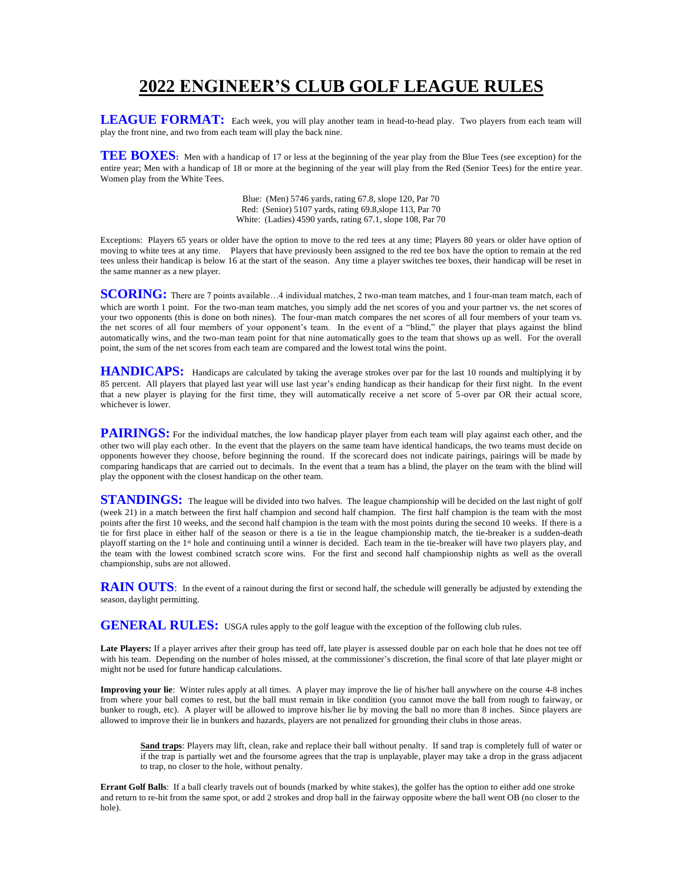## **2022 ENGINEER'S CLUB GOLF LEAGUE RULES**

**LEAGUE FORMAT:** Each week, you will play another team in head-to-head play. Two players from each team will play the front nine, and two from each team will play the back nine.

**TEE BOXES**: Men with a handicap of 17 or less at the beginning of the year play from the Blue Tees (see exception) for the entire year; Men with a handicap of 18 or more at the beginning of the year will play from the Red (Senior Tees) for the entire year. Women play from the White Tees.

> Blue: (Men) 5746 yards, rating 67.8, slope 120, Par 70 Red: (Senior) 5107 yards, rating 69.8,slope 113, Par 70 White: (Ladies) 4590 yards, rating 67.1, slope 108, Par 70

Exceptions: Players 65 years or older have the option to move to the red tees at any time; Players 80 years or older have option of moving to white tees at any time. Players that have previously been assigned to the red tee box have the option to remain at the red tees unless their handicap is below 16 at the start of the season. Any time a player switches tee boxes, their handicap will be reset in the same manner as a new player.

**SCORING:** There are 7 points available...4 individual matches, 2 two-man team matches, and 1 four-man team match, each of which are worth 1 point. For the two-man team matches, you simply add the net scores of you and your partner vs. the net scores of your two opponents (this is done on both nines). The four-man match compares the net scores of all four members of your team vs. the net scores of all four members of your opponent's team. In the event of a "blind," the player that plays against the blind automatically wins, and the two-man team point for that nine automatically goes to the team that shows up as well. For the overall point, the sum of the net scores from each team are compared and the lowest total wins the point.

**HANDICAPS:** Handicaps are calculated by taking the average strokes over par for the last 10 rounds and multiplying it by 85 percent. All players that played last year will use last year's ending handicap as their handicap for their first night. In the event that a new player is playing for the first time, they will automatically receive a net score of 5-over par OR their actual score, whichever is lower.

PAIRINGS: For the individual matches, the low handicap player player from each team will play against each other, and the other two will play each other. In the event that the players on the same team have identical handicaps, the two teams must decide on opponents however they choose, before beginning the round. If the scorecard does not indicate pairings, pairings will be made by comparing handicaps that are carried out to decimals. In the event that a team has a blind, the player on the team with the blind will play the opponent with the closest handicap on the other team.

**STANDINGS:** The league will be divided into two halves. The league championship will be decided on the last night of golf (week 21) in a match between the first half champion and second half champion. The first half champion is the team with the most points after the first 10 weeks, and the second half champion is the team with the most points during the second 10 weeks. If there is a tie for first place in either half of the season or there is a tie in the league championship match, the tie-breaker is a sudden-death playoff starting on the 1<sup>st</sup> hole and continuing until a winner is decided. Each team in the tie-breaker will have two players play, and the team with the lowest combined scratch score wins. For the first and second half championship nights as well as the overall championship, subs are not allowed.

RAIN OUTS: In the event of a rainout during the first or second half, the schedule will generally be adjusted by extending the season, daylight permitting.

GENERAL RULES: USGA rules apply to the golf league with the exception of the following club rules.

Late Players: If a player arrives after their group has teed off, late player is assessed double par on each hole that he does not tee off with his team. Depending on the number of holes missed, at the commissioner's discretion, the final score of that late player might or might not be used for future handicap calculations.

**Improving your lie**: Winter rules apply at all times. A player may improve the lie of his/her ball anywhere on the course 4-8 inches from where your ball comes to rest, but the ball must remain in like condition (you cannot move the ball from rough to fairway, or bunker to rough, etc). A player will be allowed to improve his/her lie by moving the ball no more than 8 inches. Since players are allowed to improve their lie in bunkers and hazards, players are not penalized for grounding their clubs in those areas.

**Sand traps**: Players may lift, clean, rake and replace their ball without penalty. If sand trap is completely full of water or if the trap is partially wet and the foursome agrees that the trap is unplayable, player may take a drop in the grass adjacent to trap, no closer to the hole, without penalty.

**Errant Golf Balls**: If a ball clearly travels out of bounds (marked by white stakes), the golfer has the option to either add one stroke and return to re-hit from the same spot, or add 2 strokes and drop ball in the fairway opposite where the ball went OB (no closer to the hole).